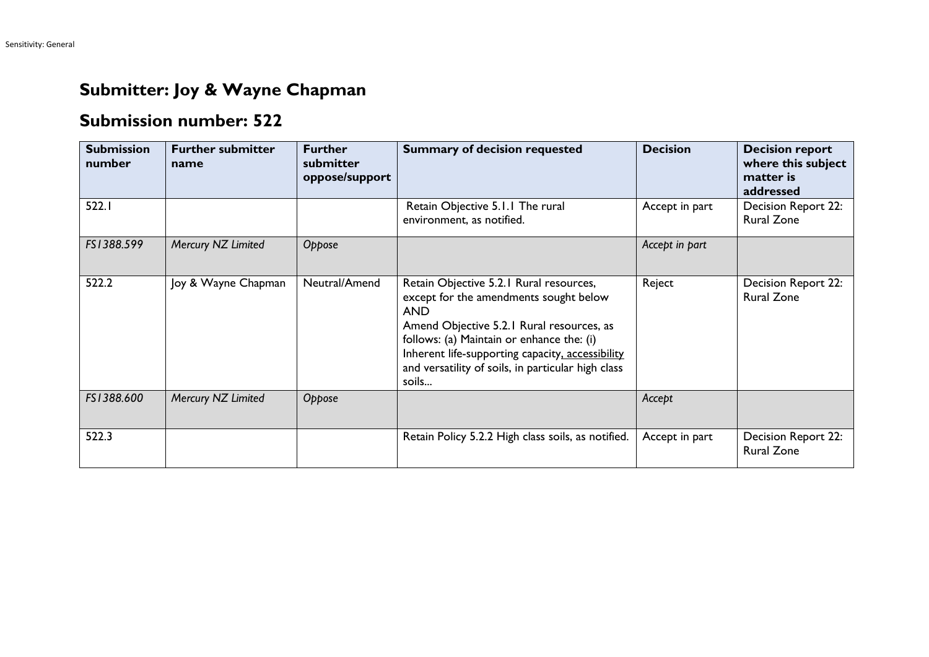## **Submitter: Joy & Wayne Chapman**

## **Submission number: 522**

| <b>Submission</b><br>number | <b>Further submitter</b><br>name | <b>Further</b><br>submitter<br>oppose/support | <b>Summary of decision requested</b>                                                                                                                                                                                                                                                                         | <b>Decision</b> | <b>Decision report</b><br>where this subject<br>matter is<br>addressed |
|-----------------------------|----------------------------------|-----------------------------------------------|--------------------------------------------------------------------------------------------------------------------------------------------------------------------------------------------------------------------------------------------------------------------------------------------------------------|-----------------|------------------------------------------------------------------------|
| 522.1                       |                                  |                                               | Retain Objective 5.1.1 The rural<br>environment, as notified.                                                                                                                                                                                                                                                | Accept in part  | Decision Report 22:<br><b>Rural Zone</b>                               |
| FS1388.599                  | Mercury NZ Limited               | Oppose                                        |                                                                                                                                                                                                                                                                                                              | Accept in part  |                                                                        |
| 522.2                       | Joy & Wayne Chapman              | Neutral/Amend                                 | Retain Objective 5.2.1 Rural resources,<br>except for the amendments sought below<br><b>AND</b><br>Amend Objective 5.2.1 Rural resources, as<br>follows: (a) Maintain or enhance the: (i)<br>Inherent life-supporting capacity, accessibility<br>and versatility of soils, in particular high class<br>soils | Reject          | Decision Report 22:<br><b>Rural Zone</b>                               |
| FS1388.600                  | Mercury NZ Limited               | Oppose                                        |                                                                                                                                                                                                                                                                                                              | Accept          |                                                                        |
| 522.3                       |                                  |                                               | Retain Policy 5.2.2 High class soils, as notified.                                                                                                                                                                                                                                                           | Accept in part  | Decision Report 22:<br><b>Rural Zone</b>                               |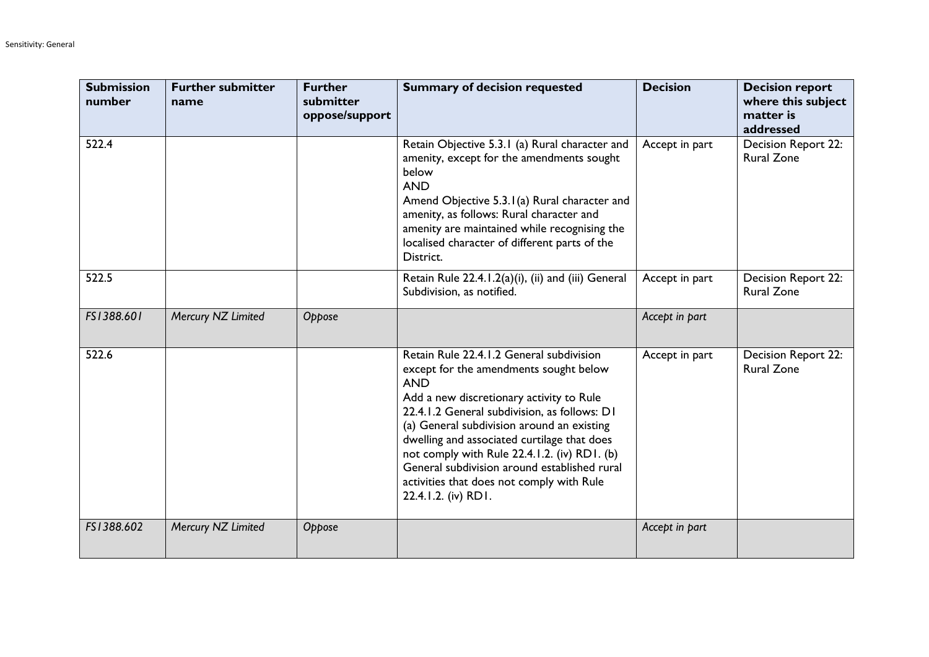| <b>Submission</b><br>number | <b>Further submitter</b><br>name | <b>Further</b><br>submitter<br>oppose/support | <b>Summary of decision requested</b>                                                                                                                                                                                                                                                                                                                                                                                                                          | <b>Decision</b> | <b>Decision report</b><br>where this subject<br>matter is<br>addressed |
|-----------------------------|----------------------------------|-----------------------------------------------|---------------------------------------------------------------------------------------------------------------------------------------------------------------------------------------------------------------------------------------------------------------------------------------------------------------------------------------------------------------------------------------------------------------------------------------------------------------|-----------------|------------------------------------------------------------------------|
| 522.4                       |                                  |                                               | Retain Objective 5.3.1 (a) Rural character and<br>amenity, except for the amendments sought<br>below<br><b>AND</b><br>Amend Objective 5.3.1(a) Rural character and<br>amenity, as follows: Rural character and<br>amenity are maintained while recognising the<br>localised character of different parts of the<br>District.                                                                                                                                  | Accept in part  | Decision Report 22:<br><b>Rural Zone</b>                               |
| 522.5                       |                                  |                                               | Retain Rule 22.4.1.2(a)(i), (ii) and (iii) General<br>Subdivision, as notified.                                                                                                                                                                                                                                                                                                                                                                               | Accept in part  | Decision Report 22:<br><b>Rural Zone</b>                               |
| FS1388.601                  | Mercury NZ Limited               | Oppose                                        |                                                                                                                                                                                                                                                                                                                                                                                                                                                               | Accept in part  |                                                                        |
| 522.6                       |                                  |                                               | Retain Rule 22.4.1.2 General subdivision<br>except for the amendments sought below<br><b>AND</b><br>Add a new discretionary activity to Rule<br>22.4.1.2 General subdivision, as follows: D1<br>(a) General subdivision around an existing<br>dwelling and associated curtilage that does<br>not comply with Rule 22.4.1.2. (iv) RD1. (b)<br>General subdivision around established rural<br>activities that does not comply with Rule<br>22.4.1.2. (iv) RD1. | Accept in part  | Decision Report 22:<br><b>Rural Zone</b>                               |
| FS1388.602                  | Mercury NZ Limited               | Oppose                                        |                                                                                                                                                                                                                                                                                                                                                                                                                                                               | Accept in part  |                                                                        |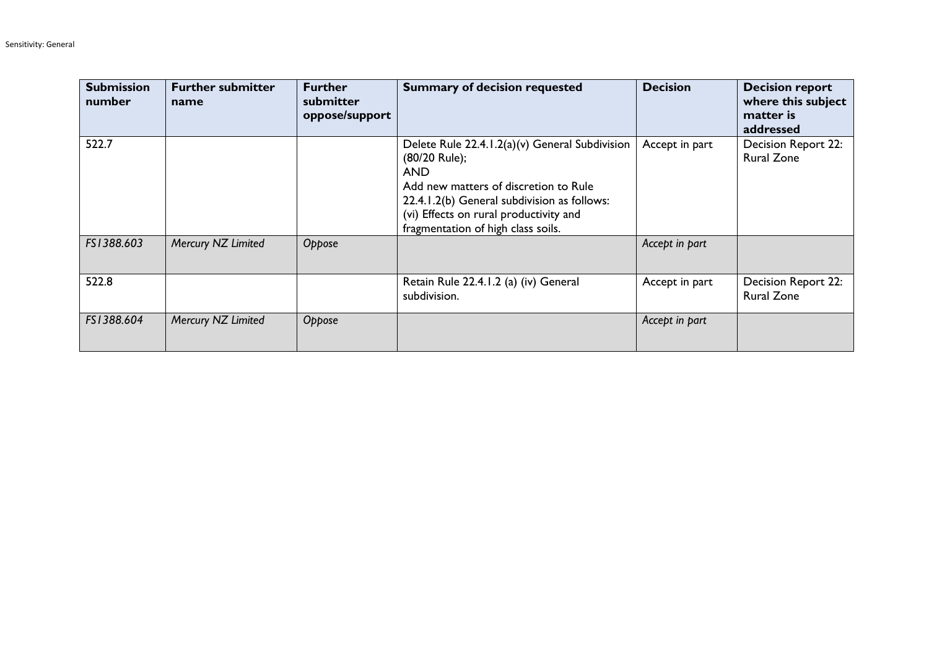| <b>Submission</b><br>number | <b>Further submitter</b><br>name | <b>Further</b><br>submitter<br>oppose/support | <b>Summary of decision requested</b>                                                                                                                                                                                                                  | <b>Decision</b> | <b>Decision report</b><br>where this subject<br>matter is<br>addressed |
|-----------------------------|----------------------------------|-----------------------------------------------|-------------------------------------------------------------------------------------------------------------------------------------------------------------------------------------------------------------------------------------------------------|-----------------|------------------------------------------------------------------------|
| 522.7                       |                                  |                                               | Delete Rule 22.4.1.2(a)(v) General Subdivision<br>(80/20 Rule);<br><b>AND</b><br>Add new matters of discretion to Rule<br>22.4.1.2(b) General subdivision as follows:<br>(vi) Effects on rural productivity and<br>fragmentation of high class soils. | Accept in part  | Decision Report 22:<br><b>Rural Zone</b>                               |
| FS1388.603                  | Mercury NZ Limited               | Oppose                                        |                                                                                                                                                                                                                                                       | Accept in part  |                                                                        |
| 522.8                       |                                  |                                               | Retain Rule 22.4.1.2 (a) (iv) General<br>subdivision.                                                                                                                                                                                                 | Accept in part  | Decision Report 22:<br><b>Rural Zone</b>                               |
| FS1388.604                  | Mercury NZ Limited               | Oppose                                        |                                                                                                                                                                                                                                                       | Accept in part  |                                                                        |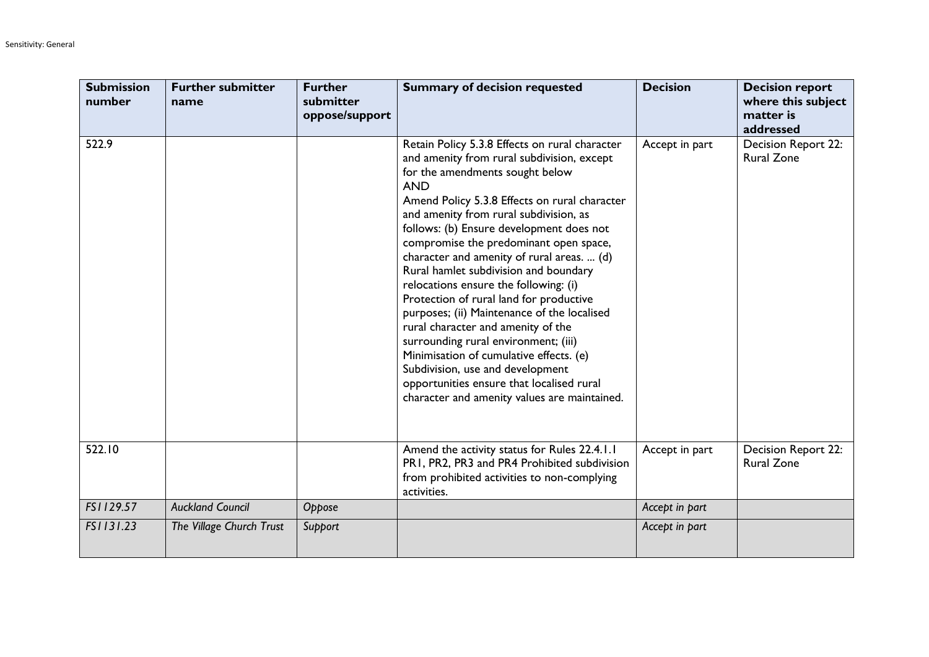| <b>Submission</b><br>number | <b>Further submitter</b><br>name | <b>Further</b><br>submitter<br>oppose/support | <b>Summary of decision requested</b>                                                                                                                                                                                                                                                                                                                                                                                                                                                                                                                                                                                                                                                                                                                                                                               | <b>Decision</b> | <b>Decision report</b><br>where this subject<br>matter is<br>addressed |
|-----------------------------|----------------------------------|-----------------------------------------------|--------------------------------------------------------------------------------------------------------------------------------------------------------------------------------------------------------------------------------------------------------------------------------------------------------------------------------------------------------------------------------------------------------------------------------------------------------------------------------------------------------------------------------------------------------------------------------------------------------------------------------------------------------------------------------------------------------------------------------------------------------------------------------------------------------------------|-----------------|------------------------------------------------------------------------|
| 522.9                       |                                  |                                               | Retain Policy 5.3.8 Effects on rural character<br>and amenity from rural subdivision, except<br>for the amendments sought below<br><b>AND</b><br>Amend Policy 5.3.8 Effects on rural character<br>and amenity from rural subdivision, as<br>follows: (b) Ensure development does not<br>compromise the predominant open space,<br>character and amenity of rural areas.  (d)<br>Rural hamlet subdivision and boundary<br>relocations ensure the following: (i)<br>Protection of rural land for productive<br>purposes; (ii) Maintenance of the localised<br>rural character and amenity of the<br>surrounding rural environment; (iii)<br>Minimisation of cumulative effects. (e)<br>Subdivision, use and development<br>opportunities ensure that localised rural<br>character and amenity values are maintained. | Accept in part  | Decision Report 22:<br><b>Rural Zone</b>                               |
| 522.10                      |                                  |                                               | Amend the activity status for Rules 22.4.1.1<br>PR1, PR2, PR3 and PR4 Prohibited subdivision<br>from prohibited activities to non-complying<br>activities.                                                                                                                                                                                                                                                                                                                                                                                                                                                                                                                                                                                                                                                         | Accept in part  | Decision Report 22:<br><b>Rural Zone</b>                               |
| FS1129.57                   | <b>Auckland Council</b>          | Oppose                                        |                                                                                                                                                                                                                                                                                                                                                                                                                                                                                                                                                                                                                                                                                                                                                                                                                    | Accept in part  |                                                                        |
| FS1131.23                   | The Village Church Trust         | Support                                       |                                                                                                                                                                                                                                                                                                                                                                                                                                                                                                                                                                                                                                                                                                                                                                                                                    | Accept in part  |                                                                        |